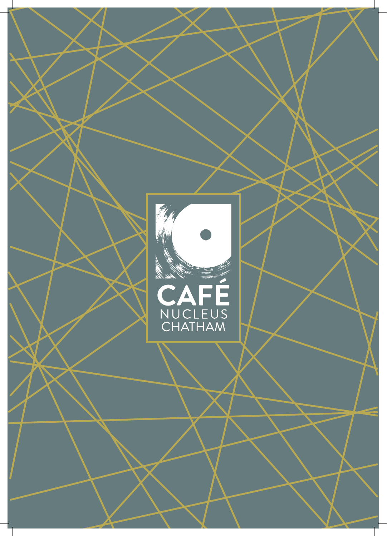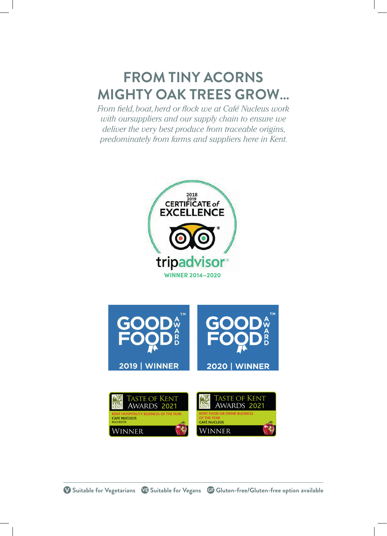## **FROM TINY ACORNS MIGHTY OAK TREES GROW…**

*From field, boat, herd or flock we at Café Nucleus work with oursuppliers and our supply chain to ensure we deliver the very best produce from traceable origins, predominately from farms and suppliers here in Kent.*

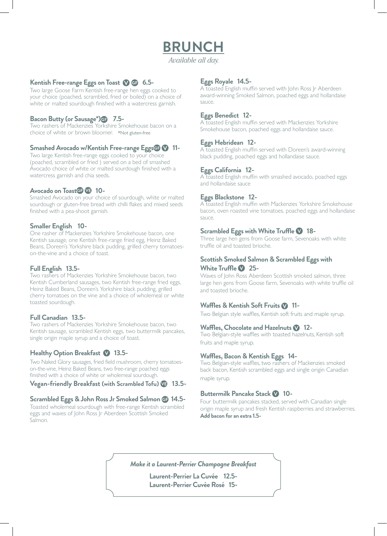### **BRUNCH**

*Available all day.*

#### **Kentish Free-range Eggs on Toast 1 GB** 6.5-

Two large Goose Farm Kentish free-range hen eggs cooked to your choice (poached, scrambled, fried or boiled) on a choice of white or malted sourdough finished with a watercress garnish.

#### **Bacon Butty (or Sausage\*) 7.5-**

Two rashers of Mackenzies Yorkshire Smokehouse bacon on a choice of white or brown bloomer. \*Not gluten-free

#### **Smashed Avocado w/Kentish Free-range Eggs 11-**

Two large Kentish free-range eggs cooked to your choice (poached, scrambled or fried ) served on a bed of smashed Avocado choice of white or malted sourdough finished with a watercress garnish and chia seeds.

#### Avocado on Toast<sup>**G**</sup> **V**<sup>B</sup> 10-

Smashed Avocado on your choice of sourdough, white or malted sourdough or gluten-free bread with chilli flakes and mixed seeds finished with a pea-shoot garnish.

#### **Smaller English 10-**

One rasher of Mackenzies Yorkshire Smokehouse bacon, one Kentish sausage, one Kentish free-range fried egg, Heinz Baked Beans, Doreen's Yorkshire black pudding, grilled cherry tomatoeson-the-vine and a choice of toast.

#### **Full English 13.5-**

Two rashers of Mackenzies Yorkshire Smokehouse bacon, two Kentish Cumberland sausages, two Kentish free-range fried eggs, Heinz Baked Beans, Doreen's Yorkshire black pudding, grilled cherry tomatoes on the vine and a choice of wholemeal or white toasted sourdough.

#### **Full Canadian 13.5-**

Two rashers of Mackenzies Yorkshire Smokehouse bacon, two Kentish sausage, scrambled Kentish eggs, two buttermilk pancakes, single origin maple syrup and a choice of toast.

#### **Healthy Option Breakfast 13.5-**

Two Naked Glory sausages, fried field mushroom, cherry tomatoeson-the-vine, Heinz Baked Beans, two free-range poached eggs finished with a choice of white or wholemeal sourdough.

#### **Vegan-friendly Breakfast (with Scrambled Tofu) 13.5-**

#### **Scrambled Eggs & John Ross Jr Smoked Salmon 14.5-**

Toasted wholemeal sourdough with free-range Kentish scrambled eggs and waves of John Ross Jr Aberdeen Scottish Smoked Salmon.

#### **Eggs Royale 14.5-**

A toasted English muffin served with John Ross Jr Aberdeen award-winning Smoked Salmon, poached eggs and hollandaise sauce.

#### **Eggs Benedict 12-**

A toasted English muffin served with Mackenzies Yorkshire Smokehouse bacon, poached eggs and hollandaise sauce.

#### **Eggs Hebridean 12-**

A toasted English muffin served with Doreen's award-winning black pudding, poached eggs and hollandaise sauce.

#### **Eggs California 12-**

A toasted English muffin with smashed avocado, poached eggs and hollandaise sauce

#### **Eggs Blackstone 12-**

A toasted English muffin with Mackenzies Yorkshire Smokehouse bacon, oven roasted vine tomatoes, poached eggs and hollandaise sauce.

#### **Scrambled Eggs with White Truffle \@** 18-

Three large hen gens from Goose farm, Sevenoaks with white truffle oil and toasted brioche.

#### **Scottish Smoked Salmon & Scrambled Eggs with White Truffle 25-**

Waves of John Ross Aberdeen Scottish smoked salmon, three large hen gens from Goose farm, Sevenoaks with white truffle oil and toasted brioche.

#### Waffles & Kentish Soft Fruits **11-**

Two Belgian style waffles, Kentish soft fruits and maple syrup.

#### **Waffles, Chocolate and Hazelnuts 12-**

Two Belgian-style waffles with toasted hazelnuts, Kentish soft fruits and maple syrup.

#### **Waffles, Bacon & Kentish Eggs 14-**

Two Belgian-style waffles, two rashers of Mackenzies smoked back bacon, Kentish scrambled eggs and single origin Canadian maple syrup.

#### **Buttermilk Pancake Stack V 10-**

Four buttermilk pancakes stacked, served with Canadian single origin maple syrup and fresh Kentish raspberries and strawberries. **Add bacon for an extra 1.5-**

*Make it a Laurent-Perrier Champagne Breakfast*

**Laurent-Perrier La Cuvée 12.5- Laurent-Perrier Cuvée Rosé 15-**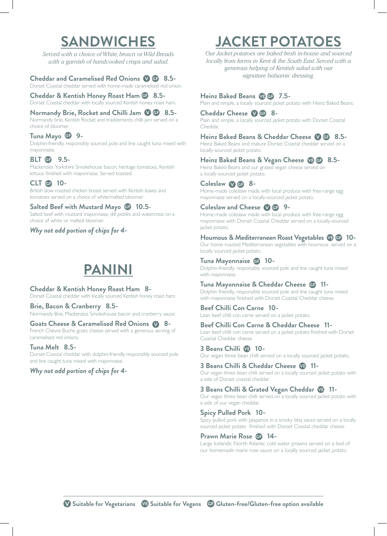### **SANDWICHES**

*Served with a choice of White, brown or Wild Breads with a garnish of handcooked crisps and salad.*

#### **Cheddar and Caramelised Red Onions 8.5-**

Dorset Coastal cheddar served with home-made caramelised red onion.

**Cheddar & Kentish Honey Roast Ham 8.5-** Dorset Coastal cheddar with locally sourced Kentish honey roast ham.

**Normandy Brie, Rocket and Chilli Jam @ 8.5-**Normandy brie, Kentish Rocket and tracklements chilli jam served on a choice of bloomer

#### **Tuna Mayo 9-** Dolphin-friendly, responsibly sourced pole and line caught tuna mixed with mayonnaise.

#### **BLT G** 9.5-

Mackenzies Yorkshire Smokehouse bacon, heritage tomatoes, Kentish lettuce finished with mayonnaise. Served toasted.

#### **CLT <b>G** 10-

British slow roasted chicken breast served with Kentish leaves and tomatoes served on a choice of white/malted bloomer.

#### **Salted Beef with Mustard Mayo @ 10.5-**

Salted beef with mustard mayonnaise, dill pickles and watercress on a choice of white or malted bloomer.

*Why not add portion of chips for 4-*

## **PANINI**

#### **Cheddar & Kentish Honey Roast Ham 8-**

Dorset Coastal cheddar with locally sourced Kentish honey roast ham.

#### **Brie, Bacon & Cranberry 8.5-**

Normandy Brie, Mackenzies Smokehouse bacon and cranberry sauce.

#### **Goats Cheese & Caramelised Red Onions 8-**

French Chèvre Buche goats cheese served with a generous serving of caramelised red onions.

#### **Tuna Melt 8.5-**

Dorset Coastal cheddar with dolphin-friendly responsibly sourced pole and line caught tuna mixed with mayonnaise.

#### *Why not add portion of chips for 4-*

# **JACKET POTATOES**

*Our Jacket potatoes are baked fresh in-house and sourced locally from farms in Kent & the South East. Served with a generous helping of Kentish salad with our signature balsamic dressing.*

#### **Heinz Baked Beans 7.5-**

Plain and simple, a locally sourced jacket potato with Heinz Baked Beans.

#### **Cheddar Cheese 8-**

Plain and simple, a locally sourced jacket potato with Dorset Coastal Cheddar.

#### **Heinz Baked Beans & Cheddar Cheese 8.5-**

Heinz Baked Beans and mature Dorset Coastal cheddar served on a locally-sourced jacket potato.

#### **Heinz Baked Beans & Vegan Cheese 8.5-**

Heinz Baked Beans and our grated vegan cheese served on a locally-sourced jacket potato.

#### **Coleslaw 8-**

Home-made coleslaw made with local produce with free-range egg mayonnaise served on a locally-sourced jacket potato.

#### **Coleslaw and Cheese @ GP 9-**

Home-made coleslaw made with local produce with free-range egg mayonnaise with Dorset Coastal Cheddar served on a locally-sourced jacket potato.

#### **Houmous & Mediterranean Roast Vegetables 10-**

Our home roasted Mediterranean vegetables with houmous served on a locally sourced jacket potato.

#### **Tuna Mayonnaise 10-**

Dolphin-friendly, responsibly sourced pole and line caught tuna mixed with mayonnaise

#### **Tuna Mayonnaise & Cheddar Cheese 11-**

Dolphin friendly, responsible sourced pole and line caught tuna mixed with mayonnaise finished with Dorset Coastal Cheddar cheese.

#### **Beef Chilli Con Carne 10-** Lean beef chilli con carne served on a jacket potato.

**Beef Chilli Con Carne & Cheddar Cheese 11-**

Lean beef chilli con carne served on a jacket potato finished with Dorset Coastal Cheddar cheese.

#### **3 Beans Chilli VB** 10-

Our vegan three bean chilli served on a locally sourced jacket potato.

**3 Beans Chilli & Cheddar Cheese 11-**Our vegan three bean chilli served on a locally sourced jacket potato with a side of Dorset coastal cheddar.

### **3 Beans Chilli & Grated Vegan Cheddar 11-**

Our vegan three bean chilli served on a locally sourced jacket potato with a side of our vegan cheddar.

#### **Spicy Pulled Pork 10-**

Spicy pulled pork with Jalapenos in a smoky bbq sauce served on a locally sourced jacket potato finished with Dorset Coastal cheddar cheese

#### **Prawn Marie Rose G. 14-**

Large Icelandic North Atlantic cold water prawns served on a bed of our homemade marie rose sauce on a locally sourced jacket potato.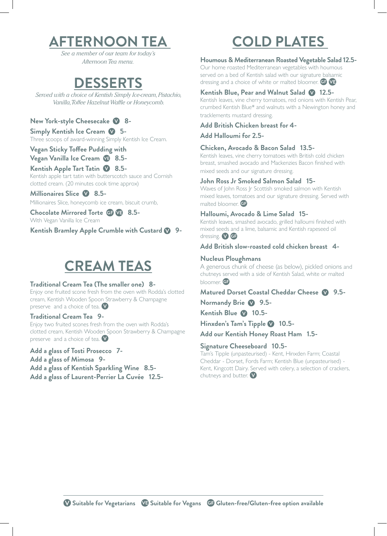## **AFTERNOON TEA**

*See a member of our team for today's Afternoon Tea menu.*

### **DESSERTS**

*Served with a choice of Kentish Simply Ice-cream, Pistachio, Vanilla, Toffee Hazelnut Waffle or Honeycomb.*

#### **New York-style Cheesecake 8-**

**Simply Kentish Ice Cream 5-** Three scoops of award-winning Simply Kentish Ice Cream.

#### **Vegan Sticky Toffee Pudding with Vegan Vanilla Ice Cream 4 8.5-**

### **Kentish Apple Tart Tatin @ 8.5-**

Kentish apple tart tatin with butterscotch sauce and Cornish clotted cream. (20 minutes cook time approx)

#### **Millionaires Slice 8.5-** Millionaires Slice, honeycomb ice cream, biscuit crumb,

**Chocolate Mirrored Torte 8.5-** With Vegan Vanilla Ice Cream

**Kentish Bramley Apple Crumble with Custard @ 9-**

## **CREAM TEAS**

#### **Traditional Cream Tea (The smaller one) 8-**

Enjoy one fruited scone fresh from the oven with Rodda's clotted cream, Kentish Wooden Spoon Strawberry & Champagne preserve and a choice of tea.

#### **Traditional Cream Tea 9-**

Enjoy two fruited scones fresh from the oven with Rodda's clotted cream, Kentish Wooden Spoon Strawberry & Champagne preserve and a choice of tea.

#### **Add a glass of Tosti Prosecco 7-**

**Add a glass of Mimosa 9- Add a glass of Kentish Sparkling Wine 8.5- Add a glass of Laurent-Perrier La Cuvée 12.5-**

## **COLD PLATES**

#### **Houmous & Mediterranean Roasted Vegetable Salad 12.5-**

Our home roasted Mediterranean vegetables with houmous served on a bed of Kentish salad with our signature balsamic dressing and a choice of white or malted bloomer. **GF VE** 

#### Kentish Blue, Pear and Walnut Salad **12.5-**

Kentish leaves, vine cherry tomatoes, red onions with Kentish Pear, crumbed Kentish Blue\* and walnuts with a Newington honey and tracklements mustard dressing.

#### **Add British Chicken breast for 4-**

**Add Halloumi for 2.5-**

#### **Chicken, Avocado & Bacon Salad 13.5-**

Kentish leaves, vine cherry tomatoes with British cold chicken breast, smashed avocado and Mackenzies Bacon finished with mixed seeds and our signature dressing.

#### **John Ross Jr Smoked Salmon Salad 15-**

Waves of John Ross Jr Scottish smoked salmon with Kentish mixed leaves, tomatoes and our signature dressing. Served with malted bloomer. **GF** 

#### **Halloumi, Avocado & Lime Salad 15-**

Kentish leaves, smashed avocado, grilled halloumi finished with mixed seeds and a lime, balsamic and Kentish rapeseed oil dressing. V GP

**Add British slow-roasted cold chicken breast 4-**

#### **Nucleus Ploughmans**

A generous chunk of cheese (as below), pickled onions and chutneys served with a side of Kentish Salad, white or malted bloomer. GF

**Matured Dorset Coastal Cheddar Cheese 9.5-**

**Normandy Brie 2 9.5-**

Kentish Blue **10.5-**

Hinxden's Tam's Tipple **2** 10.5-

**Add our Kentish Honey Roast Ham 1.5-**

#### **Signature Cheeseboard 10.5-**

Tam's Tipple (unpasteurised) - Kent, Hinxden Farm; Coastal Cheddar - Dorset, Fords Farm; Kentish Blue (unpasteurised) - Kent, Kingcott Dairy. Served with celery, a selection of crackers, chutneys and butter.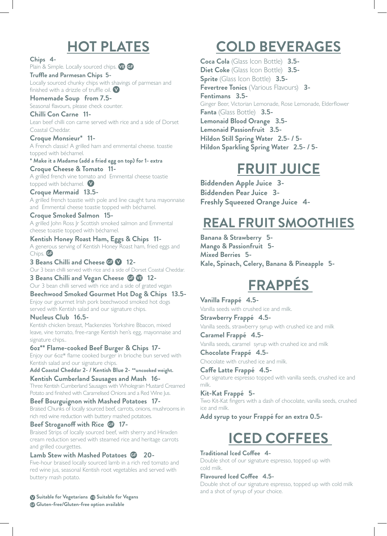## **HOT PLATES**

**Chips 4-**

Plain & Simple. Locally sourced chips. **VE GE** 

**Truffle and Parmesan Chips 5-** Locally sourced chunky chips with shavings of parmesan and finished with a drizzle of truffle oil.  $\bullet$ 

**Homemade Soup from 7.5-** Seasonal flavours, please check counter.

**Chilli Con Carne 11-** Lean beef chilli con carne served with rice and a side of Dorset Coastal Cheddar.

**Croque Monsieur\* 11-** A French classic! A grilled ham and emmental cheese. toastie topped with béchamel.

**\* Make it a Madame (add a fried egg on top) for 1- extra Croque Cheese & Tomato 11-**

A grilled french vine tomato and Emmental cheese toastie topped with béchamel.

**Croque Mermaid 13.5-** A grilled french toastie with pole and line caught tuna mayonnaise and Emmental cheese toastie topped with béchamel.

**Croque Smoked Salmon 15-** A grilled John Ross Jr Scottish smoked salmon and Emmental cheese toastie topped with béchamel.

**Kentish Honey Roast Ham, Eggs & Chips 11-** A generous serving of Kentish Honey Roast ham, fried eggs and Chips. **CD** 

**3 Beans Chilli and Cheese GP V 12-**Our 3 bean chilli served with rice and a side of Dorset Coastal Cheddar.

**3 Beans Chilli and Vegan Cheese @ 12-**Our 3 bean chilli served with rice and a side of grated vegan **Beechwood Smoked Gourmet Hot Dog & Chips 13.5-**

Enjoy our gourmet Irish pork beechwood smoked hot dogs served with Kentish salad and our signature chips.

**Nucleus Club 16.5-** Kentish chicken breast, Mackenzies Yorkshire Bbacon, mixed

leave, vine tomato, free-range Kentish hen's egg, mayonnaise and signature chips..

**6oz\*\* Flame-cooked Beef Burger & Chips 17-** Enjoy our 6oz\* flame cooked burger in brioche bun served with Kentish salad and our signature chips.

**Add Coastal Cheddar 2- / Kentish Blue 2- \*\*uncooked weight. Kentish Cumberland Sausages and Mash 16-**

Three Kentish Cumberland Sausages with Wholegrain Mustard Creamed Potato and finished with Caramelised Onions and a Red Wine Jus.

**Beef Bourguignon with Mashed Potatoes 17-** Braised Chunks of locally sourced beef, carrots, onions, mushrooms in rich red wine reduction with buttery mashed potatoes.

#### **Beef Stroganoff with Rice 17-**

Braised Strips of locally sourced beef, with sherry and Hinxden cream reduction served with steamed rice and heritage carrots and grilled courgettes.

#### **Lamb Stew with Mashed Potatoes 20-**

Five-hour braised locally sourced lamb in a rich red tomato and red wine jus, seasonal Kentish root vegetables and served with buttery mash potato.

**Suitable for Vegetarians & Suitable for Vegans Gluten-free/Gluten-free option available**

## **COLD BEVERAGES**

**Coca Cola** (Glass Icon Bottle) **3.5- Diet Coke** (Glass Icon Bottle) **3.5- Sprite** (Glass Icon Bottle) **3.5- Fevertree Tonics** (Various Flavours) **3- Fentimans 3.5-** Ginger Beer, Victorian Lemonade, Rose Lemonade, Elderflower **Fanta** (Glass Bottle) **3.5- Lemonaid Blood Orange 3.5- Lemonaid Passionfruit 3.5- Hildon Still Spring Water 2.5- / 5- Hildon Sparkling Spring Water 2.5- / 5-**

## **FRUIT JUICE**

**Biddenden Apple Juice 3- Biddenden Pear Juice 3- Freshly Squeezed Orange Juice 4-**

## **REAL FRUIT SMOOTHIES**

**Banana & Strawberry 5- Mango & Passionfruit 5- Mixed Berries 5- Kale, Spinach, Celery, Banana & Pineapple 5-**

# **FRAPPÉS**

**Vanilla Frappé 4.5-** Vanilla seeds with crushed ice and milk.

**Strawberry Frappé 4.5-** Vanilla seeds, strawberry syrup with crushed ice and milk

**Caramel Frappé 4.5-** Vanilla seeds, caramel syrup with crushed ice and milk

**Chocolate Frappé 4.5-** Chocolate with crushed ice and milk.

**Caffe Latte Frappé 4.5-** Our signature espresso topped with vanilla seeds, crushed ice and milk.

**Kit-Kat Frappé 5-** Two Kit-Kat fingers with a dash of chocolate, vanilla seeds, crushed ice and milk.

**Add syrup to your Frappé for an extra 0.5-**

# **ICED COFFEES**

#### **Traditional Iced Coffee 4-**

Double shot of our signature espresso, topped up with cold milk.

#### **Flavoured Iced Coffee 4.5-**

Double shot of our signature espresso, topped up with cold milk and a shot of syrup of your choice.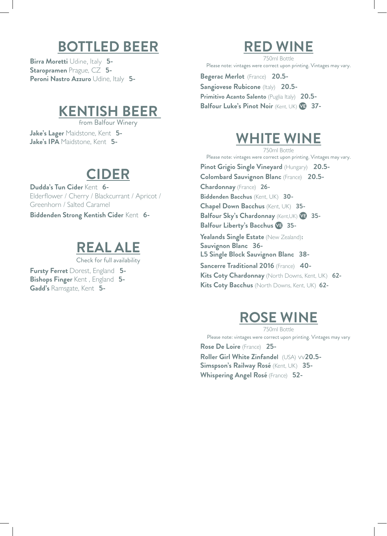## **BOTTLED BEER**

**Birra Moretti** Udine, Italy **5- Staropramen** Prague, CZ **5- Peroni Nastro Azzuro** Udine, Italy **5-**

### **KENTISH BEER**

from Balfour Winery

**Jake's Lager** Maidstone, Kent **5- Jake's IPA** Maidstone, Kent **5-**

### **CIDER**

**Dudda's Tun Cider** Kent **6-** Elderflower / Cherry / Blackcurrant / Apricot / Greenhorn / Salted Caramel

**Biddenden Strong Kentish Cider** Kent **6-**

## **REAL ALE**

Check for full availability

**Fursty Ferret** Dorest, England **5- Bishops Finger** Kent , England **5- Gadd's** Ramsgate, Kent **5-**

### **RED WINE**

750ml Bottle Please note: vintages were correct upon printing. Vintages may vary.

**Begerac Merlot** (France) **20.5- Sangiovese Rubicone** (Italy) **20.5-**

**Primitivo Acanto Salento** (Puglia Italy) **20.5- Balfour Luke's Pinot Noir** (Kent, UK) **37-**

## **WHITE WINE**

750ml Bottle Please note: vintages were correct upon printing. Vintages may vary. **Pinot Grigio Single Vineyard** (Hungary) **20.5- Colombard Sauvignon Blanc** (France) **20.5- Chardonnay** (France) **26- Biddenden Bacchus** (Kent, UK) **30- Chapel Down Bacchus** (Kent, UK) **35- Balfour Sky's Chardonnay** (Kent,UK) **35- Balfour Liberty's Bacchus 35- Yealands Single Estate** (New Zealand)**: Sauvignon Blanc 36- L5 Single Block Sauvignon Blanc 38- Sancerre Traditional 2016** (France) **40- Kits Coty Chardonnay** (North Downs, Kent, UK) **62- Kits Coty Bacchus** (North Downs, Kent, UK) **62-**

## **ROSE WINE**

750ml Bottle Please note: vintages were correct upon printing. Vintages may vary

**Rose De Loire** (France) **25- Roller Girl White Zinfandel** (USA) vv**20.5- Simspson's Railway Rosé** (Kent, UK) **35- Whispering Angel Rosé** (France) **52-**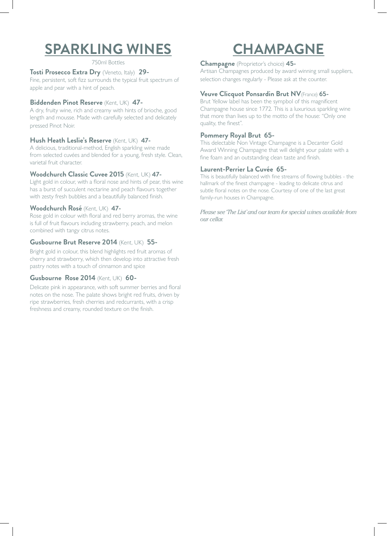# **SPARKLING WINES**

750ml Bottles

#### **Tosti Prosecco Extra Dry** (Veneto, Italy) **29-**

Fine, persistent, soft fizz surrounds the typical fruit spectrum of apple and pear with a hint of peach.

#### **Biddenden Pinot Reserve** (Kent, UK) **47-**

A dry, fruity wine, rich and creamy with hints of brioche, good length and mousse. Made with carefully selected and delicately pressed Pinot Noir.

#### **Hush Heath Leslie's Reserve** (Kent, UK) **47-**

A delicious, traditional-method, English sparkling wine made from selected cuvées and blended for a young, fresh style. Clean, varietal fruit character.

#### **Woodchurch Classic Cuvee 2015** (Kent, UK) **47-**

Light gold in colour, with a floral nose and hints of pear, this wine has a burst of succulent nectarine and peach flavours together with zesty fresh bubbles and a beautifully balanced finish.

#### **Woodchurch Rosé** (Kent, UK) **47-**

Rose gold in colour with floral and red berry aromas, the wine is full of fruit flavours including strawberry, peach, and melon combined with tangy citrus notes.

#### **Gusbourne Brut Reserve 2014** (Kent, UK) **55-**

Bright gold in colour, this blend highlights red fruit aromas of cherry and strawberry, which then develop into attractive fresh pastry notes with a touch of cinnamon and spice

#### **Gusbourne Rose 2014** (Kent, UK) **60-**

Delicate pink in appearance, with soft summer berries and floral notes on the nose. The palate shows bright red fruits, driven by ripe strawberries, fresh cherries and redcurrants, with a crisp freshness and creamy, rounded texture on the finish.

# **CHAMPAGNE**

#### **Champagne** (Proprietor's choice) **45-**

Artisan Champagnes produced by award winning small suppliers, selection changes regularly - Please ask at the counter.

#### **Veuve Clicquot Ponsardin Brut NV**(France) **65-**

Brut Yellow label has been the sympbol of this magnificent Champagne house since 1772. This is a luxurious sparkling wine that more than lives up to the motto of the house: "Only one quality, the finest".

#### **Pommery Royal Brut 65-**

This delectable Non Vintage Champagne is a Decanter Gold Award Winning Champagne that will delight your palate with a fine foam and an outstanding clean taste and finish.

#### **Laurent-Perrier La Cuvée 65-**

This is beautifully balanced with fine streams of flowing bubbles - the hallmark of the finest champagne - leading to delicate citrus and subtle floral notes on the nose. Courtesy of one of the last great family-run houses in Champagne.

*Please see 'The List' and our team for special wines available from our cellar.*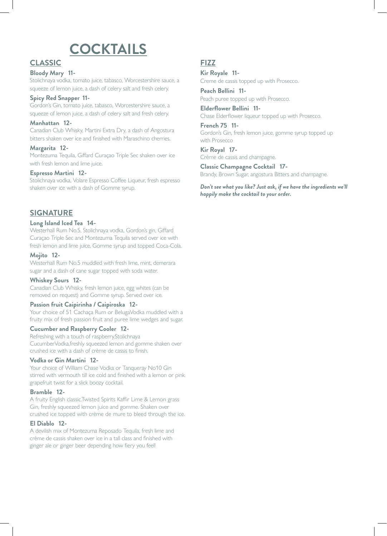# **COCKTAILS**

#### **CLASSIC**

#### **Bloody Mary 11-**

Stolichnaya vodka, tomato juice, tabasco, Worcestershire sauce, a squeeze of lemon juice, a dash of celery salt and fresh celery.

#### **Spicy Red Snapper 11-**

Gordon's Gin, tomato juice, tabasco, Worcestershire sauce, a squeeze of lemon juice, a dash of celery salt and fresh celery.

#### **Manhattan 12-**

Canadian Club Whisky, Martini Extra Dry, a dash of Angostura bitters shaken over ice and finished with Maraschino cherries.

#### **Margarita 12-**

Montezuma Tequila, Giffard Curaçao Triple Sec shaken over ice with fresh lemon and lime juice.

#### **Espresso Martini 12-**

Stolichnaya vodka, Volare Espresso Coffee Liqueur, fresh espresso shaken over ice with a dash of Gomme syrup.

#### **SIGNATURE**

#### **Long Island Iced Tea 14-**

Westerhall Rum No.5, Stolichnaya vodka, Gordon's gin, Giffard Curaçao Triple Sec and Montezuma Tequila served over ice with fresh lemon and lime juice, Gomme syrup and topped Coca-Cola.

#### **Mojito 12-**

Westerhall Rum No.5 muddled with fresh lime, mint, demerara sugar and a dash of cane sugar topped with soda water.

#### **Whiskey Sours 12-**

Canadian Club Whisky, fresh lemon juice, egg whites (can be removed on request) and Gomme syrup. Served over ice.

#### **Passion fruit Caipirinha / Caipiroska 12-**

Your choice of 51 Cachaça Rum or BelugaVodka muddled with a fruity mix of fresh passion fruit and puree lime wedges and sugar.

#### **Cucumber and Raspberry Cooler 12-**

Refreshing with a touch of raspberry.Stolichnaya CucumberVodka,freshly squeezed lemon and gomme shaken over crushed ice with a dash of crème de cassis to finish.

#### **Vodka or Gin Martini 12-**

Your choice of William Chase Vodka or Tanqueray No10 Gin stirred with vermouth till ice cold and finished with a lemon or pink grapefruit twist for a slick boozy cocktail.

#### **Bramble 12-**

A fruity English classic.Twisted Spirits Kaffir Lime & Lemon grass Gin, freshly squeezed lemon juice and gomme. Shaken over crushed ice topped with crème de mure to bleed through the ice.

#### **El Diablo 12-**

A devilish mix of Montezuma Reposado Tequila, fresh lime and crème de cassis shaken over ice in a tall class and finished with ginger ale or ginger beer depending how fiery you feel!

#### **FIZZ**

**Kir Royale 11-** Creme de cassis topped up with Prosecco.

**Peach Bellini 11-** Peach puree topped up with Prosecco.

**Elderflower Bellini 11-** Chase Elderflower liqueur topped up with Prosecco.

**French 75 11-** Gordon's Gin, fresh lemon juice, gomme syrup topped up with Prosecco

**Kir Royal 17-** Crème de cassis and champagne.

**Classic Champagne Cocktail 17-** Brandy, Brown Sugar, angostura Bitters and champagne.

*Don't see what you like? Just ask, if we have the ingredients we'll happily make the cocktail to your order.*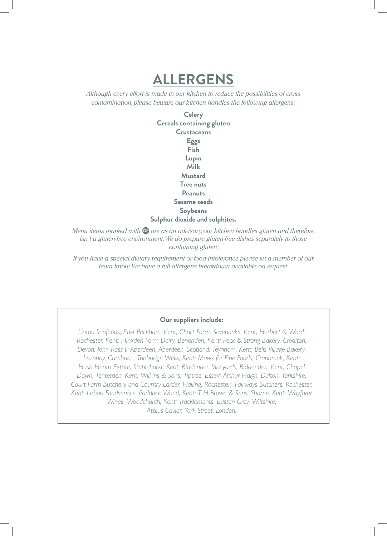## **ALLERGENS**

*Although every effort is made in our kitchen to reduce the possibilities of cross contamination, please beware our kitchen handles the following allergens:*

> **Celery Cereals containing gluten Crustaceans Eggs Fish Lupin Milk Mustard Tree nuts Peanuts Sesame seeds Soybeans Sulphur dioxide and sulphites.**

*Menu items marked with*  $\bigoplus$  are as an advisory, our kitchen handles gluten and therefore *isn't a gluten-free environment. We do prepare gluten-free dishes separately to those containing gluten.*

*If you have a special dietary requirement or food intolerance please let a member of our team know.We have a full allergens breakdown available on request.*

#### **Our suppliers include:**

*Linton Seafoods, East Peckham, Kent; Chart Farm, Sevenoaks, Kent; Herbert & Ward, Rochester, Kent; Hinxden Farm Dairy, Benenden, Kent; Peck & Strong Bakery, Crediton, Devon; John Ross Jr Aberdeen, Aberdeen, Scotland; Teynham, Kent; Bells Village Bakery, Lazonby, Cumbria; , Tunbridge Wells, Kent; Maws for Fine Foods, Cranbrook, Kent; Hush Heath Estate, Staplehurst, Kent; Biddenden Vineyards, Biddenden, Kent; Chapel Down, Tenterden, Kent; Wilkins & Sons, Tiptree, Essex; Arthur Haigh, Dalton, Yorkshire; Court Farm Butchery and Country Larder, Halling, Rochester;. Fairways Butchers, Rochester, Kent; Urban Foodservice, Paddock Wood, Kent; T H Brown & Sons, Shorne, Kent; Wayfarer Wines, Woodchurch, Kent; Tracklements, Easton Grey, Wiltshire; Attilus Caviar, York Street, London.*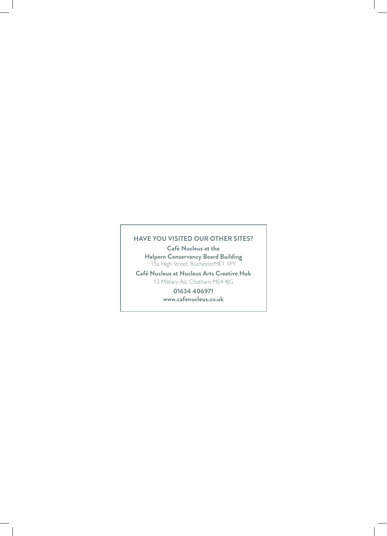#### **HAVE YOU VISITED OUR OTHER SITES?**

**Café Nucleus at the Halpern Conservancy Board Building** 15a High Street, RochesterME1 1PY

**Café Nucleus at Nucleus Arts Creative Hub** 13 Military Rd, Chatham ME4 4JG

> **01634 406971 www.cafenucleus.co.uk**